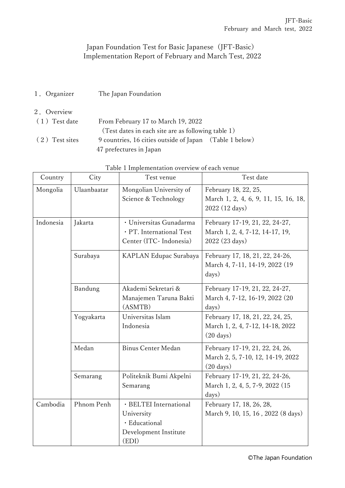## Japan Foundation Test for Basic Japanese (JFT-Basic) Implementation Report of February and March Test, 2022

- 1.Organizer The Japan Foundation
- 2.Overview (1)Test date From February 17 to March 19, 2022 (Test dates in each site are as following table 1) (2)Test sites 9 countries, 16 cities outside of Japan (Table 1 below) 47 prefectures in Japan

| Country   | City        | Test venue                                                                              | Test date                                                                                   |
|-----------|-------------|-----------------------------------------------------------------------------------------|---------------------------------------------------------------------------------------------|
| Mongolia  | Ulaanbaatar | Mongolian University of<br>Science & Technology                                         | February 18, 22, 25,<br>March 1, 2, 4, 6, 9, 11, 15, 16, 18,<br>2022 (12 days)              |
| Indonesia | Jakarta     | · Universitas Gunadarma<br>· PT. International Test<br>Center (ITC- Indonesia)          | February 17-19, 21, 22, 24-27,<br>March 1, 2, 4, 7-12, 14-17, 19,<br>2022 (23 days)         |
|           | Surabaya    | KAPLAN Edupac Surabaya                                                                  | February 17, 18, 21, 22, 24-26,<br>March 4, 7-11, 14-19, 2022 (19<br>days)                  |
|           | Bandung     | Akademi Sekretari &<br>Manajemen Taruna Bakti<br>(ASMTB)                                | February 17-19, 21, 22, 24-27,<br>March 4, 7-12, 16-19, 2022 (20<br>days)                   |
|           | Yogyakarta  | Universitas Islam<br>Indonesia                                                          | February 17, 18, 21, 22, 24, 25,<br>March 1, 2, 4, 7-12, 14-18, 2022<br>$(20 \text{ days})$ |
|           | Medan       | <b>Binus Center Medan</b>                                                               | February 17-19, 21, 22, 24, 26,<br>March 2, 5, 7-10, 12, 14-19, 2022<br>$(20 \text{ days})$ |
|           | Semarang    | Politeknik Bumi Akpelni<br>Semarang                                                     | February 17-19, 21, 22, 24-26,<br>March 1, 2, 4, 5, 7-9, 2022 (15<br>days)                  |
| Cambodia  | Phnom Penh  | · BELTEI International<br>University<br>· Educational<br>Development Institute<br>(EDI) | February 17, 18, 26, 28,<br>March 9, 10, 15, 16, 2022 (8 days)                              |

| Table 1 Implementation overview of each venue |  |  |  |  |  |  |  |  |
|-----------------------------------------------|--|--|--|--|--|--|--|--|
|-----------------------------------------------|--|--|--|--|--|--|--|--|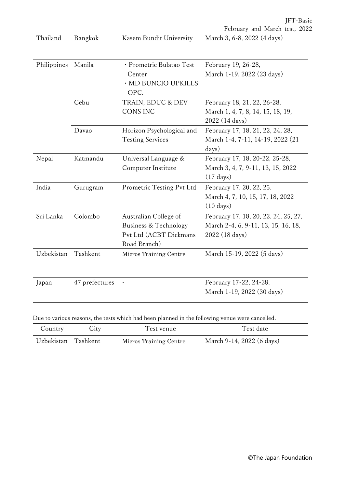JFT-Basic

|             |                |                                                                                          | February and March test, 2022                                                                 |
|-------------|----------------|------------------------------------------------------------------------------------------|-----------------------------------------------------------------------------------------------|
| Thailand    | Bangkok        | Kasem Bundit University                                                                  | March 3, 6-8, 2022 (4 days)                                                                   |
| Philippines | Manila         | · Prometric Bulatao Test<br>Center<br>· MD BUNCIO UPKILLS<br>OPC.                        | February 19, 26-28,<br>March 1-19, 2022 (23 days)                                             |
|             | Cebu           | TRAIN, EDUC & DEV<br><b>CONS INC</b>                                                     | February 18, 21, 22, 26-28,<br>March 1, 4, 7, 8, 14, 15, 18, 19,<br>2022 (14 days)            |
|             | Davao          | Horizon Psychological and<br><b>Testing Services</b>                                     | February 17, 18, 21, 22, 24, 28,<br>March 1-4, 7-11, 14-19, 2022 (21<br>days)                 |
| Nepal       | Katmandu       | Universal Language &<br>Computer Institute                                               | February 17, 18, 20-22, 25-28,<br>March 3, 4, 7, 9-11, 13, 15, 2022<br>$(17 \text{ days})$    |
| India       | Gurugram       | Prometric Testing Pvt Ltd                                                                | February 17, 20, 22, 25,<br>March 4, 7, 10, 15, 17, 18, 2022<br>$(10 \text{ days})$           |
| Sri Lanka   | Colombo        | Australian College of<br>Business & Technology<br>Pvt Ltd (ACBT Dickmans<br>Road Branch) | February 17, 18, 20, 22, 24, 25, 27,<br>March 2-4, 6, 9-11, 13, 15, 16, 18,<br>2022 (18 days) |
| Uzbekistan  | Tashkent       | Micros Training Centre                                                                   | March 15-19, 2022 (5 days)                                                                    |
| Japan       | 47 prefectures |                                                                                          | February 17-22, 24-28,<br>March 1-19, 2022 (30 days)                                          |

Due to various reasons, the tests which had been planned in the following venue were cancelled.

| Country    | City     | Test venue             | Test date                 |
|------------|----------|------------------------|---------------------------|
| Uzbekistan | Tashkent | Micros Training Centre | March 9-14, 2022 (6 days) |